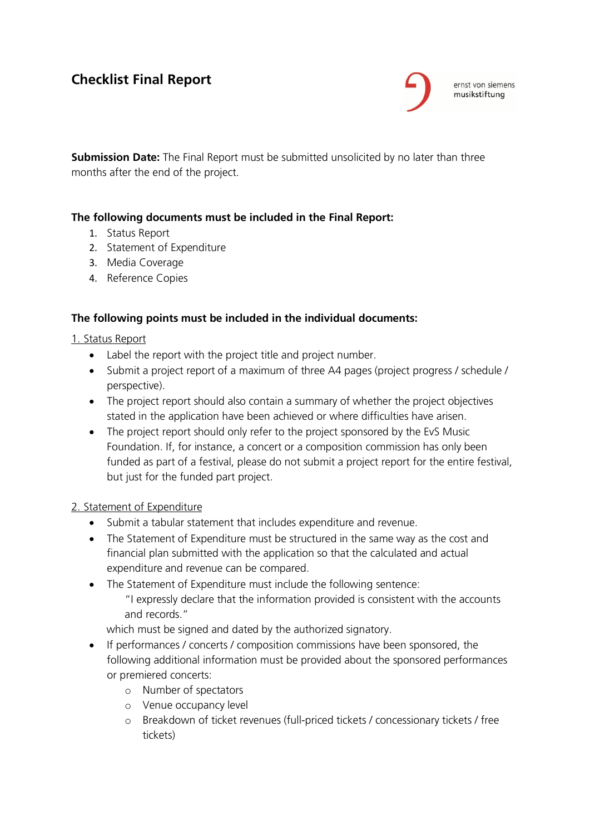# **Checklist Final Report**



ernst von siemens musikstiftung

**Submission Date:** The Final Report must be submitted unsolicited by no later than three months after the end of the project.

## **The following documents must be included in the Final Report:**

- 1. Status Report
- 2. Statement of Expenditure
- 3. Media Coverage
- 4. Reference Copies

## **The following points must be included in the individual documents:**

#### 1. Status Report

- Label the report with the project title and project number.
- Submit a project report of a maximum of three A4 pages (project progress / schedule / perspective).
- The project report should also contain a summary of whether the project objectives stated in the application have been achieved or where difficulties have arisen.
- The project report should only refer to the project sponsored by the EvS Music Foundation. If, for instance, a concert or a composition commission has only been funded as part of a festival, please do not submit a project report for the entire festival, but just for the funded part project.

#### 2. Statement of Expenditure

- Submit a tabular statement that includes expenditure and revenue.
- The Statement of Expenditure must be structured in the same way as the cost and financial plan submitted with the application so that the calculated and actual expenditure and revenue can be compared.
- The Statement of Expenditure must include the following sentence: "I expressly declare that the information provided is consistent with the accounts and records."

which must be signed and dated by the authorized signatory.

- If performances / concerts / composition commissions have been sponsored, the following additional information must be provided about the sponsored performances or premiered concerts:
	- o Number of spectators
	- o Venue occupancy level
	- o Breakdown of ticket revenues (full-priced tickets / concessionary tickets / free tickets)